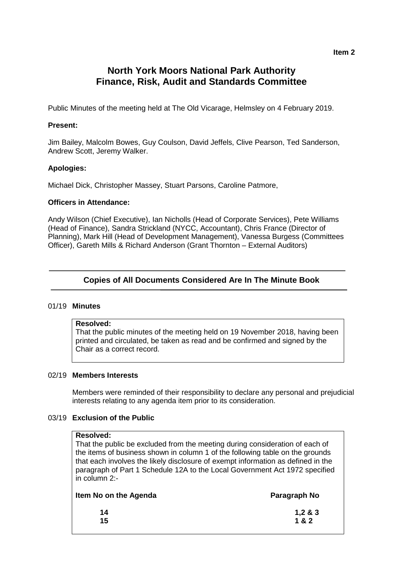#### **Item 2**

# **North York Moors National Park Authority Finance, Risk, Audit and Standards Committee**

Public Minutes of the meeting held at The Old Vicarage, Helmsley on 4 February 2019.

### **Present:**

Jim Bailey, Malcolm Bowes, Guy Coulson, David Jeffels, Clive Pearson, Ted Sanderson, Andrew Scott, Jeremy Walker.

### **Apologies:**

Michael Dick, Christopher Massey, Stuart Parsons, Caroline Patmore,

#### **Officers in Attendance:**

Andy Wilson (Chief Executive), Ian Nicholls (Head of Corporate Services), Pete Williams (Head of Finance), Sandra Strickland (NYCC, Accountant), Chris France (Director of Planning), Mark Hill (Head of Development Management), Vanessa Burgess (Committees Officer), Gareth Mills & Richard Anderson (Grant Thornton – External Auditors)

# **Copies of All Documents Considered Are In The Minute Book**

#### 01/19 **Minutes**

### **Resolved:**

That the public minutes of the meeting held on 19 November 2018, having been printed and circulated, be taken as read and be confirmed and signed by the Chair as a correct record.

# 02/19 **Members Interests**

Members were reminded of their responsibility to declare any personal and prejudicial interests relating to any agenda item prior to its consideration.

# 03/19 **Exclusion of the Public**

#### **Resolved:**

That the public be excluded from the meeting during consideration of each of the items of business shown in column 1 of the following table on the grounds that each involves the likely disclosure of exempt information as defined in the paragraph of Part 1 Schedule 12A to the Local Government Act 1972 specified in column 2:-

| Item No on the Agenda | Paragraph No |
|-----------------------|--------------|
| 14                    | 1,283        |
| 15                    | 1 & 2        |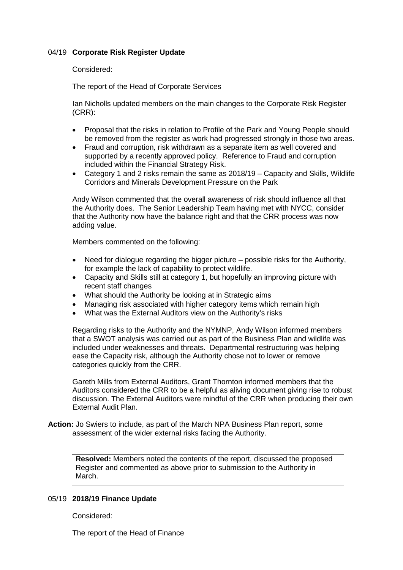# 04/19 **Corporate Risk Register Update**

#### Considered:

The report of the Head of Corporate Services

Ian Nicholls updated members on the main changes to the Corporate Risk Register (CRR):

- Proposal that the risks in relation to Profile of the Park and Young People should be removed from the register as work had progressed strongly in those two areas.
- Fraud and corruption, risk withdrawn as a separate item as well covered and supported by a recently approved policy. Reference to Fraud and corruption included within the Financial Strategy Risk.
- Category 1 and 2 risks remain the same as 2018/19 Capacity and Skills, Wildlife Corridors and Minerals Development Pressure on the Park

Andy Wilson commented that the overall awareness of risk should influence all that the Authority does. The Senior Leadership Team having met with NYCC, consider that the Authority now have the balance right and that the CRR process was now adding value.

Members commented on the following:

- Need for dialogue regarding the bigger picture possible risks for the Authority, for example the lack of capability to protect wildlife.
- Capacity and Skills still at category 1, but hopefully an improving picture with recent staff changes
- What should the Authority be looking at in Strategic aims
- Managing risk associated with higher category items which remain high
- What was the External Auditors view on the Authority's risks

Regarding risks to the Authority and the NYMNP, Andy Wilson informed members that a SWOT analysis was carried out as part of the Business Plan and wildlife was included under weaknesses and threats. Departmental restructuring was helping ease the Capacity risk, although the Authority chose not to lower or remove categories quickly from the CRR.

Gareth Mills from External Auditors, Grant Thornton informed members that the Auditors considered the CRR to be a helpful as aliving document giving rise to robust discussion. The External Auditors were mindful of the CRR when producing their own External Audit Plan.

**Action:** Jo Swiers to include, as part of the March NPA Business Plan report, some assessment of the wider external risks facing the Authority.

**Resolved:** Members noted the contents of the report, discussed the proposed Register and commented as above prior to submission to the Authority in March.

#### 05/19 **2018/19 Finance Update**

Considered:

The report of the Head of Finance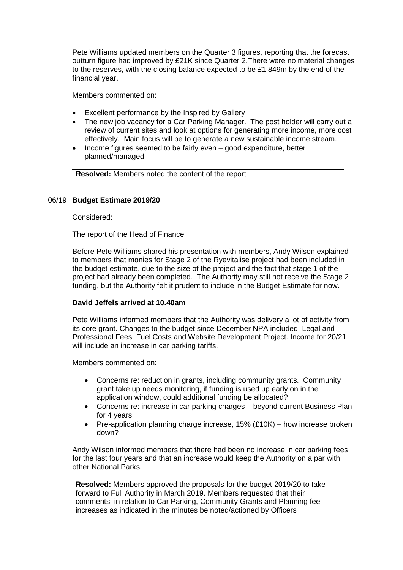Pete Williams updated members on the Quarter 3 figures, reporting that the forecast outturn figure had improved by £21K since Quarter 2.There were no material changes to the reserves, with the closing balance expected to be £1.849m by the end of the financial year.

Members commented on:

- Excellent performance by the Inspired by Gallery
- The new job vacancy for a Car Parking Manager. The post holder will carry out a review of current sites and look at options for generating more income, more cost effectively. Main focus will be to generate a new sustainable income stream.
- Income figures seemed to be fairly even good expenditure, better planned/managed

**Resolved:** Members noted the content of the report

# 06/19 **Budget Estimate 2019/20**

Considered:

The report of the Head of Finance

Before Pete Williams shared his presentation with members, Andy Wilson explained to members that monies for Stage 2 of the Ryevitalise project had been included in the budget estimate, due to the size of the project and the fact that stage 1 of the project had already been completed. The Authority may still not receive the Stage 2 funding, but the Authority felt it prudent to include in the Budget Estimate for now.

### **David Jeffels arrived at 10.40am**

Pete Williams informed members that the Authority was delivery a lot of activity from its core grant. Changes to the budget since December NPA included; Legal and Professional Fees, Fuel Costs and Website Development Project. Income for 20/21 will include an increase in car parking tariffs.

Members commented on:

- Concerns re: reduction in grants, including community grants. Community grant take up needs monitoring, if funding is used up early on in the application window, could additional funding be allocated?
- Concerns re: increase in car parking charges beyond current Business Plan for 4 years
- Pre-application planning charge increase,  $15\%$  (£10K) how increase broken down?

Andy Wilson informed members that there had been no increase in car parking fees for the last four years and that an increase would keep the Authority on a par with other National Parks.

**Resolved:** Members approved the proposals for the budget 2019/20 to take forward to Full Authority in March 2019. Members requested that their comments, in relation to Car Parking, Community Grants and Planning fee increases as indicated in the minutes be noted/actioned by Officers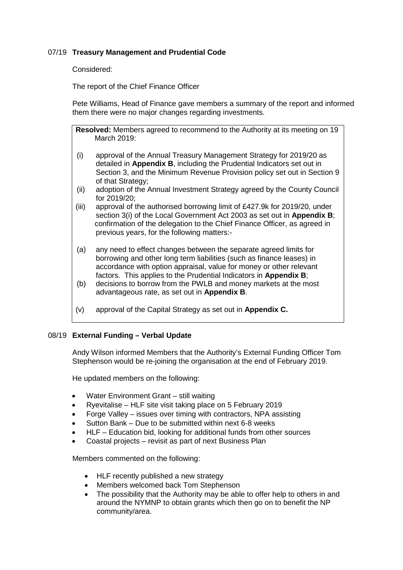# 07/19 **Treasury Management and Prudential Code**

Considered:

The report of the Chief Finance Officer

Pete Williams, Head of Finance gave members a summary of the report and informed them there were no major changes regarding investments.

**Resolved:** Members agreed to recommend to the Authority at its meeting on 19 March 2019:

- (i) approval of the Annual Treasury Management Strategy for 2019/20 as detailed in **Appendix B**, including the Prudential Indicators set out in Section 3, and the Minimum Revenue Provision policy set out in Section 9 of that Strategy;
- (ii) adoption of the Annual Investment Strategy agreed by the County Council for 2019/20;
- (iii) approval of the authorised borrowing limit of £427.9k for 2019/20, under section 3(i) of the Local Government Act 2003 as set out in **Appendix B**; confirmation of the delegation to the Chief Finance Officer, as agreed in previous years, for the following matters:-
- (a) any need to effect changes between the separate agreed limits for borrowing and other long term liabilities (such as finance leases) in accordance with option appraisal, value for money or other relevant factors. This applies to the Prudential Indicators in **Appendix B**;
- (b) decisions to borrow from the PWLB and money markets at the most advantageous rate, as set out in **Appendix B**.
- (v) approval of the Capital Strategy as set out in **Appendix C.**

# 08/19 **External Funding – Verbal Update**

Andy Wilson informed Members that the Authority's External Funding Officer Tom Stephenson would be re-joining the organisation at the end of February 2019.

He updated members on the following:

- Water Environment Grant still waiting
- Ryevitalise HLF site visit taking place on 5 February 2019
- Forge Valley issues over timing with contractors, NPA assisting
- Sutton Bank Due to be submitted within next 6-8 weeks
- HLF Education bid, looking for additional funds from other sources
- Coastal projects revisit as part of next Business Plan

Members commented on the following:

- HLF recently published a new strategy
- Members welcomed back Tom Stephenson
- The possibility that the Authority may be able to offer help to others in and around the NYMNP to obtain grants which then go on to benefit the NP community/area.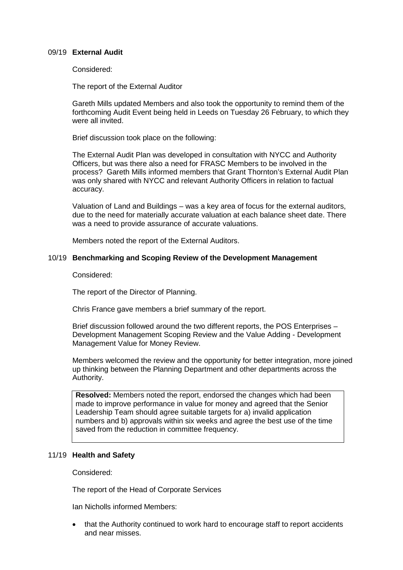### 09/19 **External Audit**

Considered:

The report of the External Auditor

Gareth Mills updated Members and also took the opportunity to remind them of the forthcoming Audit Event being held in Leeds on Tuesday 26 February, to which they were all invited.

Brief discussion took place on the following:

The External Audit Plan was developed in consultation with NYCC and Authority Officers, but was there also a need for FRASC Members to be involved in the process? Gareth Mills informed members that Grant Thornton's External Audit Plan was only shared with NYCC and relevant Authority Officers in relation to factual accuracy.

Valuation of Land and Buildings – was a key area of focus for the external auditors, due to the need for materially accurate valuation at each balance sheet date. There was a need to provide assurance of accurate valuations.

Members noted the report of the External Auditors.

# 10/19 **Benchmarking and Scoping Review of the Development Management**

Considered:

The report of the Director of Planning.

Chris France gave members a brief summary of the report.

Brief discussion followed around the two different reports, the POS Enterprises – Development Management Scoping Review and the Value Adding - Development Management Value for Money Review.

Members welcomed the review and the opportunity for better integration, more joined up thinking between the Planning Department and other departments across the Authority.

**Resolved:** Members noted the report, endorsed the changes which had been made to improve performance in value for money and agreed that the Senior Leadership Team should agree suitable targets for a) invalid application numbers and b) approvals within six weeks and agree the best use of the time saved from the reduction in committee frequency.

# 11/19 **Health and Safety**

Considered:

The report of the Head of Corporate Services

Ian Nicholls informed Members:

• that the Authority continued to work hard to encourage staff to report accidents and near misses.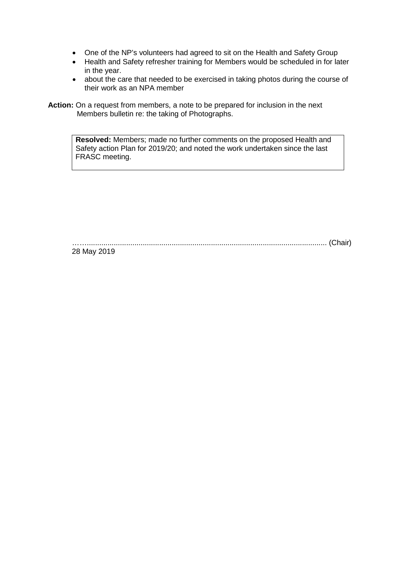- One of the NP's volunteers had agreed to sit on the Health and Safety Group
- Health and Safety refresher training for Members would be scheduled in for later in the year.
- about the care that needed to be exercised in taking photos during the course of their work as an NPA member

**Action:** On a request from members, a note to be prepared for inclusion in the next Members bulletin re: the taking of Photographs.

> **Resolved:** Members; made no further comments on the proposed Health and Safety action Plan for 2019/20; and noted the work undertaken since the last FRASC meeting.

…….................................................................................................................... (Chair)

28 May 2019